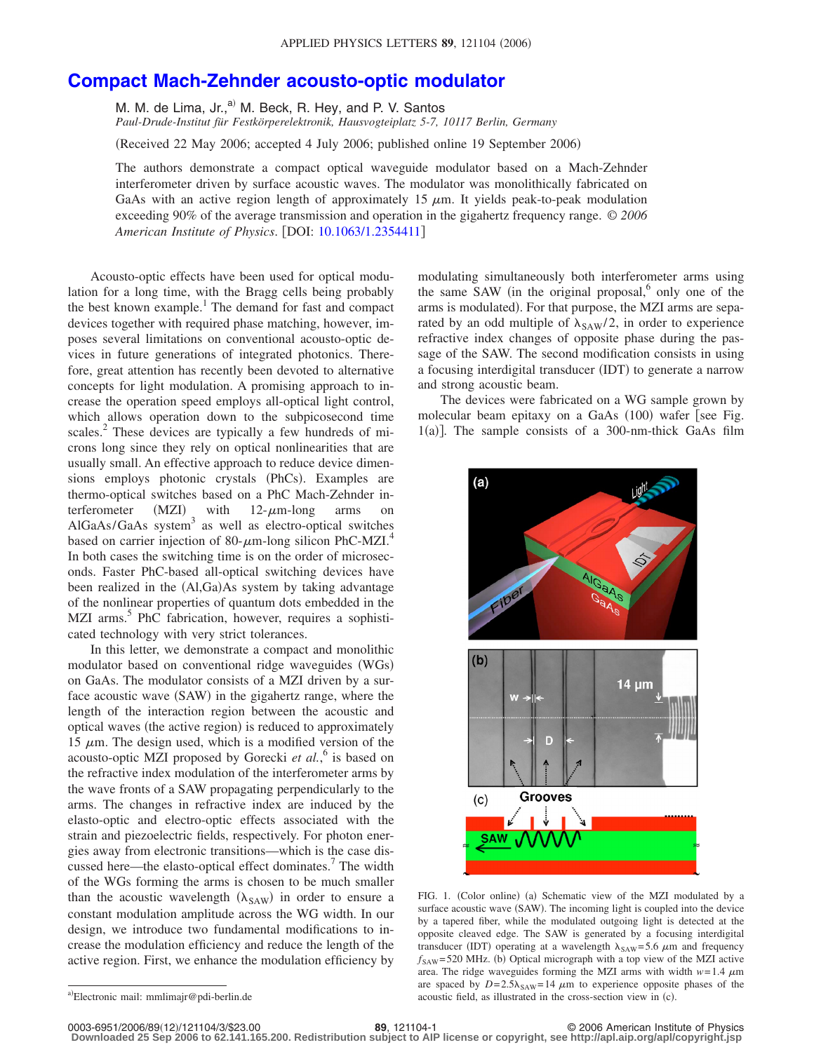## **[Compact Mach-Zehnder acousto-optic modulator](http://dx.doi.org/10.1063/1.2354411)**

M. M. de Lima, Jr., $^{a)}$  M. Beck, R. Hey, and P. V. Santos *Paul-Drude-Institut für Festkörperelektronik, Hausvogteiplatz 5-7, 10117 Berlin, Germany*

(Received 22 May 2006; accepted 4 July 2006; published online 19 September 2006)

The authors demonstrate a compact optical waveguide modulator based on a Mach-Zehnder interferometer driven by surface acoustic waves. The modulator was monolithically fabricated on GaAs with an active region length of approximately 15  $\mu$ m. It yields peak-to-peak modulation exceeding 90% of the average transmission and operation in the gigahertz frequency range. © *2006 American Institute of Physics*. DOI: [10.1063/1.2354411](http://dx.doi.org/10.1063/1.2354411)

Acousto-optic effects have been used for optical modulation for a long time, with the Bragg cells being probably the best known example.<sup>1</sup> The demand for fast and compact devices together with required phase matching, however, imposes several limitations on conventional acousto-optic devices in future generations of integrated photonics. Therefore, great attention has recently been devoted to alternative concepts for light modulation. A promising approach to increase the operation speed employs all-optical light control, which allows operation down to the subpicosecond time scales.<sup>2</sup> These devices are typically a few hundreds of microns long since they rely on optical nonlinearities that are usually small. An effective approach to reduce device dimensions employs photonic crystals (PhCs). Examples are thermo-optical switches based on a PhC Mach-Zehnder interferometer (MZI) ) with  $12$ - $\mu$ m-long arms on AlGaAs/GaAs system<sup>3</sup> as well as electro-optical switches based on carrier injection of 80- $\mu$ m-long silicon PhC-MZI.<sup>4</sup> In both cases the switching time is on the order of microseconds. Faster PhC-based all-optical switching devices have been realized in the (Al,Ga)As system by taking advantage of the nonlinear properties of quantum dots embedded in the MZI arms.<sup>5</sup> PhC fabrication, however, requires a sophisticated technology with very strict tolerances.

In this letter, we demonstrate a compact and monolithic modulator based on conventional ridge waveguides (WGs) on GaAs. The modulator consists of a MZI driven by a surface acoustic wave (SAW) in the gigahertz range, where the length of the interaction region between the acoustic and optical waves (the active region) is reduced to approximately 15  $\mu$ m. The design used, which is a modified version of the acousto-optic MZI proposed by Gorecki *et al.*, <sup>6</sup> is based on the refractive index modulation of the interferometer arms by the wave fronts of a SAW propagating perpendicularly to the arms. The changes in refractive index are induced by the elasto-optic and electro-optic effects associated with the strain and piezoelectric fields, respectively. For photon energies away from electronic transitions—which is the case discussed here—the elasto-optical effect dominates.<sup>7</sup> The width of the WGs forming the arms is chosen to be much smaller than the acoustic wavelength  $(\lambda_{SAW})$  in order to ensure a constant modulation amplitude across the WG width. In our design, we introduce two fundamental modifications to increase the modulation efficiency and reduce the length of the active region. First, we enhance the modulation efficiency by modulating simultaneously both interferometer arms using the same SAW (in the original proposal, $6$  only one of the arms is modulated). For that purpose, the MZI arms are separated by an odd multiple of  $\lambda_{SAW}/2$ , in order to experience refractive index changes of opposite phase during the passage of the SAW. The second modification consists in using a focusing interdigital transducer (IDT) to generate a narrow and strong acoustic beam.

The devices were fabricated on a WG sample grown by molecular beam epitaxy on a GaAs (100) wafer [see Fig. 1(a)]. The sample consists of a 300-nm-thick GaAs film



FIG. 1. (Color online) (a) Schematic view of the MZI modulated by a surface acoustic wave (SAW). The incoming light is coupled into the device by a tapered fiber, while the modulated outgoing light is detected at the opposite cleaved edge. The SAW is generated by a focusing interdigital transducer (IDT) operating at a wavelength  $\lambda_{SAW} = 5.6 \mu m$  and frequency  $f_{\text{SAW}}$ =520 MHz. (b) Optical micrograph with a top view of the MZI active area. The ridge waveguides forming the MZI arms with width  $w=1.4 \mu m$ are spaced by  $D = 2.5\lambda_{SAW} = 14 \mu m$  to experience opposite phases of the acoustic field, as illustrated in the cross-section view in (c).

12/121104/3/\$23.00 © 2006 American Institute of Physics **89**, 121104-1 **Downloaded 25 Sep 2006 to 62.141.165.200. Redistribution subject to AIP license or copyright, see http://apl.aip.org/apl/copyright.jsp**

a)<br>Electronic mail: mmlimajr@pdi-berlin.de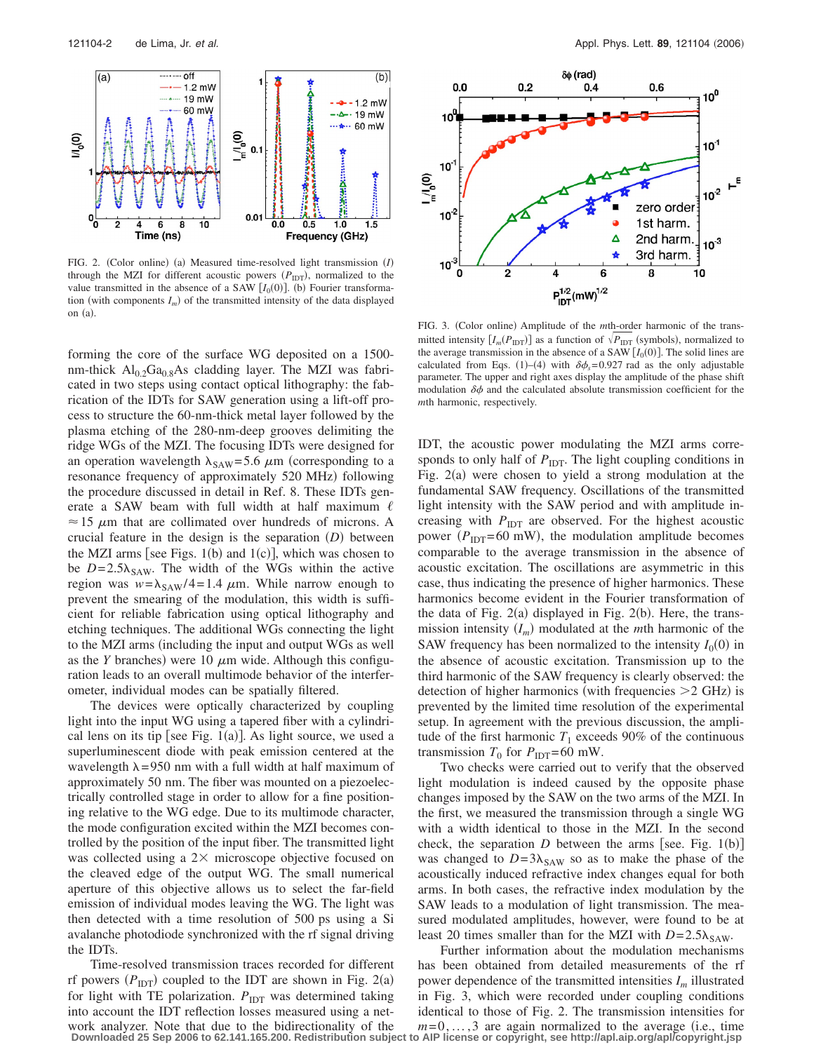

FIG. 2. (Color online) (a) Measured time-resolved light transmission (I) through the MZI for different acoustic powers ( $P_{\text{IDT}}$ ), normalized to the value transmitted in the absence of a SAW  $[I_0(0)]$ . (b) Fourier transformation (with components  $I_m$ ) of the transmitted intensity of the data displayed on (a).

forming the core of the surface WG deposited on a 1500 nm-thick  $Al_{0.2}Ga_{0.8}As$  cladding layer. The MZI was fabricated in two steps using contact optical lithography: the fabrication of the IDTs for SAW generation using a lift-off process to structure the 60-nm-thick metal layer followed by the plasma etching of the 280-nm-deep grooves delimiting the ridge WGs of the MZI. The focusing IDTs were designed for an operation wavelength  $\lambda_{SAW} = 5.6 \mu m$  (corresponding to a resonance frequency of approximately 520 MHz) following the procedure discussed in detail in Ref. 8. These IDTs generate a SAW beam with full width at half maximum  $\ell$  $\approx$  15  $\mu$ m that are collimated over hundreds of microns. A crucial feature in the design is the separation  $(D)$  between the MZI arms [see Figs.  $1(b)$  and  $1(c)$ ], which was chosen to be  $D = 2.5\lambda_{SAW}$ . The width of the WGs within the active region was  $w = \lambda_{SAW}/4 = 1.4 \mu m$ . While narrow enough to prevent the smearing of the modulation, this width is sufficient for reliable fabrication using optical lithography and etching techniques. The additional WGs connecting the light to the MZI arms (including the input and output WGs as well as the *Y* branches) were 10  $\mu$ m wide. Although this configuration leads to an overall multimode behavior of the interferometer, individual modes can be spatially filtered.

The devices were optically characterized by coupling light into the input WG using a tapered fiber with a cylindrical lens on its tip [see Fig.  $1(a)$ ]. As light source, we used a superluminescent diode with peak emission centered at the wavelength  $\lambda = 950$  nm with a full width at half maximum of approximately 50 nm. The fiber was mounted on a piezoelectrically controlled stage in order to allow for a fine positioning relative to the WG edge. Due to its multimode character, the mode configuration excited within the MZI becomes controlled by the position of the input fiber. The transmitted light was collected using a  $2\times$  microscope objective focused on the cleaved edge of the output WG. The small numerical aperture of this objective allows us to select the far-field emission of individual modes leaving the WG. The light was then detected with a time resolution of 500 ps using a Si avalanche photodiode synchronized with the rf signal driving the IDTs.

Time-resolved transmission traces recorded for different rf powers  $(P_{\text{IDT}})$  coupled to the IDT are shown in Fig. 2(a) for light with TE polarization.  $P_{\text{IDT}}$  was determined taking into account the IDT reflection losses measured using a network analyzer. Note that due to the bidirectionality of the **Downloaded 25 Sep 2006 to 62.141.165.200. Redistribution subject to AIP license or copyright, see http://apl.aip.org/apl/copyright.jsp**



FIG. 3. (Color online) Amplitude of the *mth*-order harmonic of the transmitted intensity  $[I_m(P_{\text{IDT}})]$  as a function of  $\sqrt{P_{\text{IDT}}}$  (symbols), normalized to the average transmission in the absence of a SAW  $[I_0(0)]$ . The solid lines are calculated from Eqs. (1)–(4) with  $\delta\phi_s = 0.927$  rad as the only adjustable parameter. The upper and right axes display the amplitude of the phase shift modulation  $\delta\phi$  and the calculated absolute transmission coefficient for the *m*th harmonic, respectively.

IDT, the acoustic power modulating the MZI arms corresponds to only half of  $P_{\text{IDT}}$ . The light coupling conditions in Fig. 2(a) were chosen to yield a strong modulation at the fundamental SAW frequency. Oscillations of the transmitted light intensity with the SAW period and with amplitude increasing with  $P_{\text{IDT}}$  are observed. For the highest acoustic power  $(P_{\text{IDT}}=60 \text{ mW})$ , the modulation amplitude becomes comparable to the average transmission in the absence of acoustic excitation. The oscillations are asymmetric in this case, thus indicating the presence of higher harmonics. These harmonics become evident in the Fourier transformation of the data of Fig.  $2(a)$  displayed in Fig.  $2(b)$ . Here, the transmission intensity  $(I_m)$  modulated at the *m*th harmonic of the SAW frequency has been normalized to the intensity  $I_0(0)$  in the absence of acoustic excitation. Transmission up to the third harmonic of the SAW frequency is clearly observed: the detection of higher harmonics (with frequencies  $>2$  GHz) is prevented by the limited time resolution of the experimental setup. In agreement with the previous discussion, the amplitude of the first harmonic  $T_1$  exceeds 90% of the continuous transmission  $T_0$  for  $P_{IDT} = 60$  mW.

Two checks were carried out to verify that the observed light modulation is indeed caused by the opposite phase changes imposed by the SAW on the two arms of the MZI. In the first, we measured the transmission through a single WG with a width identical to those in the MZI. In the second check, the separation  $D$  between the arms [see. Fig. 1(b)] was changed to  $D = 3\lambda_{SAW}$  so as to make the phase of the acoustically induced refractive index changes equal for both arms. In both cases, the refractive index modulation by the SAW leads to a modulation of light transmission. The measured modulated amplitudes, however, were found to be at least 20 times smaller than for the MZI with  $D=2.5\lambda_{SAW}$ .

Further information about the modulation mechanisms has been obtained from detailed measurements of the rf power dependence of the transmitted intensities *Im* illustrated in Fig. 3, which were recorded under coupling conditions identical to those of Fig. 2. The transmission intensities for  $m=0,\ldots,3$  are again normalized to the average (i.e., time